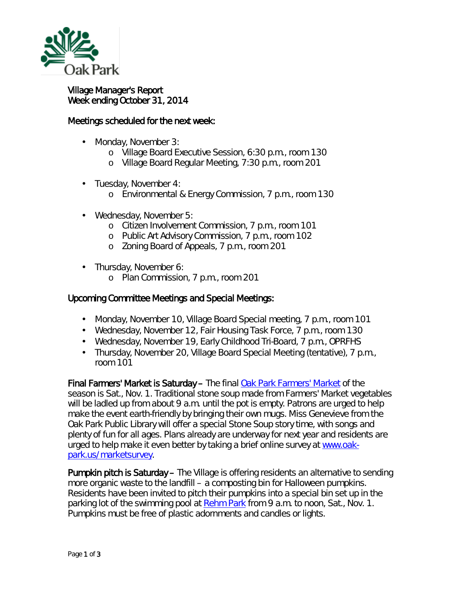

## Village Manager's Report Week ending October 31, 2014

## Meetings scheduled for the next week:

- Monday, November 3:
	- o Village Board Executive Session, 6:30 p.m., room 130
	- o Village Board Regular Meeting, 7:30 p.m., room 201
- Tuesday, November 4: a.
	- o Environmental & Energy Commission, 7 p.m., room 130
- Wednesday, November 5:
	- o Citizen Involvement Commission, 7 p.m., room 101
	- o Public Art Advisory Commission, 7 p.m., room 102
	- o Zoning Board of Appeals, 7 p.m., room 201
- Thursday, November 6:
	- o Plan Commission, 7 p.m., room 201

## Upcoming Committee Meetings and Special Meetings:

- Monday, November 10, Village Board Special meeting, 7 p.m., room 101
- Wednesday, November 12, Fair Housing Task Force, 7 p.m., room 130
- Wednesday, November 19, Early Childhood Tri-Board, 7 p.m., OPRFHS
- Thursday, November 20, Village Board Special Meeting (tentative), 7 p.m., room 101

Final Farmers' Market is Saturday – The final [Oak Park Farmers' Market](http://r20.rs6.net/tn.jsp?e=001Je0C9ME87C2ewhybAwv6ARkFYWOC_4WekRdleUNJaDa6KLacwsa_RUajuIe5A_H06y3aYSHvTM7fW2rI1NEMpkg0B0njQjgCJOg_PetFe3JXEzrDC7Lt2PyXgAEJ-c3vW_uNUjv1vLhKN5a3ApV98HYU7EVicxqs) of the season is Sat., Nov. 1. Traditional stone soup made from Farmers' Market vegetables will be ladled up from about 9 a.m. until the pot is empty. Patrons are urged to help make the event earth-friendly by bringing their own mugs. Miss Genevieve from the Oak Park Public Library will offer a special Stone Soup story time, with songs and plenty of fun for all ages. Plans already are underway for next year and residents are urged to help make it even better by taking a brief online survey at [www.oak](http://r20.rs6.net/tn.jsp?e=001Je0C9ME87C2ewhybAwv6ARkFYWOC_4WekRdleUNJaDa6KLacwsa_RUajuIe5A_H06y3aYSHvTM7fW2rI1NEMpkg0B0njQjgCKKeDlp_qs4bxORHgm0Dewln1jrL_do_q)[park.us/marketsurvey.](http://r20.rs6.net/tn.jsp?e=001Je0C9ME87C2ewhybAwv6ARkFYWOC_4WekRdleUNJaDa6KLacwsa_RUajuIe5A_H06y3aYSHvTM7fW2rI1NEMpkg0B0njQjgCKKeDlp_qs4bxORHgm0Dewln1jrL_do_q)

Pumpkin pitch is Saturday – The Village is offering residents an alternative to sending more organic waste to the landfill – a composting bin for Halloween pumpkins. Residents have been invited to pitch their pumpkins into a special bin set up in the parking lot of the swimming pool at [Rehm Park](http://r20.rs6.net/tn.jsp?e=001Je0C9ME87C2ewhybAwv6ARkFYWOC_4WekRdleUNJaDa6KLacwsa_RUajuIe5A_H06y3aYSHvTM4KLCEiaRvaTIyb9FwiQ8S63hCNiocwE2Yy45gXm3qBUuxiFgDaWl5lv0MxE3kLQ-rCbFBGm4PpCQ==) from 9 a.m. to noon, Sat., Nov. 1. Pumpkins must be free of plastic adornments and candles or lights.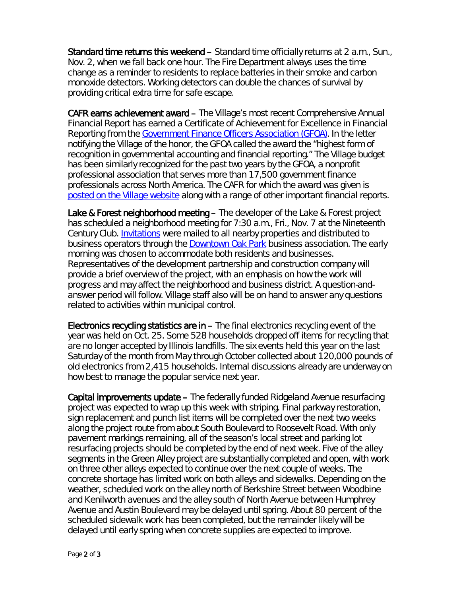Standard time returns this weekend – Standard time officially returns at 2 a.m., Sun., Nov. 2, when we fall back one hour. The Fire Department always uses the time change as a reminder to residents to replace batteries in their smoke and carbon monoxide detectors. Working detectors can double the chances of survival by providing critical extra time for safe escape.

CAFR earns achievement award – The Village's most recent Comprehensive Annual Financial Report has earned a *Certificate of Achievement for Excellence in Financial Reporting* from the [Government Finance Officers Association \(GFOA\).](http://www.gfoa.org/) In the letter notifying the Village of the honor, the GFOA called the award the "highest form of recognition in governmental accounting and financial reporting." The Village budget has been similarly recognized for the past two years by the GFOA, a nonprofit professional association that serves more than 17,500 government finance professionals across North America. The CAFR for which the award was given is [posted on the Village website](http://www.oak-park.us/your-government/budget-purchasing/financial-reports) along with a range of other important financial reports.

Lake & Forest neighborhood meeting - The developer of the Lake & Forest project has scheduled a neighborhood meeting for 7:30 a.m., Fri., Nov. 7 at the Nineteenth Century Club. [Invitations](http://www.oak-park.us/sites/default/files/456678891/2014-11-07-lake-forest-neighborhood-meeting-invitation.pdf) were mailed to all nearby properties and distributed to business operators through the [Downtown Oak Park](http://www.downtownoakpark.net/) business association. The early morning was chosen to accommodate both residents and businesses. Representatives of the development partnership and construction company will provide a brief overview of the project, with an emphasis on how the work will progress and may affect the neighborhood and business district. A question-andanswer period will follow. Village staff also will be on hand to answer any questions related to activities within municipal control.

Electronics recycling statistics are  $\mathbf{in}$  – The final electronics recycling event of the year was held on Oct. 25. Some 528 households dropped off items for recycling that are no longer accepted by Illinois landfills. The six events held this year on the last Saturday of the month from May through October collected about 120,000 pounds of old electronics from 2,415 households. Internal discussions already are underway on how best to manage the popular service next year.

Capital improvements update – The federally funded Ridgeland Avenue resurfacing project was expected to wrap up this week with striping. Final parkway restoration, sign replacement and punch list items will be completed over the next two weeks along the project route from about South Boulevard to Roosevelt Road. With only pavement markings remaining, all of the season's local street and parking lot resurfacing projects should be completed by the end of next week. Five of the alley segments in the Green Alley project are substantially completed and open, with work on three other alleys expected to continue over the next couple of weeks. The concrete shortage has limited work on both alleys and sidewalks. Depending on the weather, scheduled work on the alley north of Berkshire Street between Woodbine and Kenilworth avenues and the alley south of North Avenue between Humphrey Avenue and Austin Boulevard may be delayed until spring. About 80 percent of the scheduled sidewalk work has been completed, but the remainder likely will be delayed until early spring when concrete supplies are expected to improve.